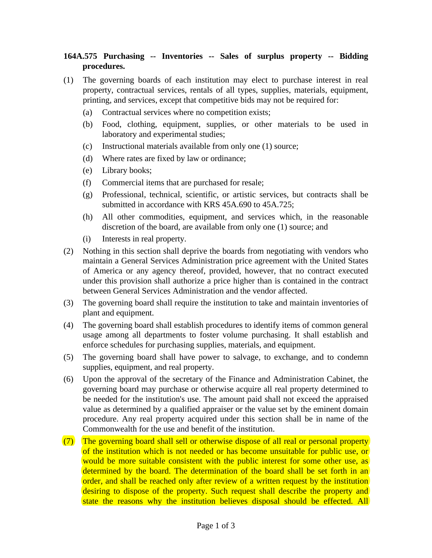## **164A.575 Purchasing -- Inventories -- Sales of surplus property -- Bidding procedures.**

- (1) The governing boards of each institution may elect to purchase interest in real property, contractual services, rentals of all types, supplies, materials, equipment, printing, and services, except that competitive bids may not be required for:
	- (a) Contractual services where no competition exists;
	- (b) Food, clothing, equipment, supplies, or other materials to be used in laboratory and experimental studies;
	- (c) Instructional materials available from only one (1) source;
	- (d) Where rates are fixed by law or ordinance;
	- (e) Library books;
	- (f) Commercial items that are purchased for resale;
	- (g) Professional, technical, scientific, or artistic services, but contracts shall be submitted in accordance with KRS 45A.690 to 45A.725;
	- (h) All other commodities, equipment, and services which, in the reasonable discretion of the board, are available from only one (1) source; and
	- (i) Interests in real property.
- (2) Nothing in this section shall deprive the boards from negotiating with vendors who maintain a General Services Administration price agreement with the United States of America or any agency thereof, provided, however, that no contract executed under this provision shall authorize a price higher than is contained in the contract between General Services Administration and the vendor affected.
- (3) The governing board shall require the institution to take and maintain inventories of plant and equipment.
- (4) The governing board shall establish procedures to identify items of common general usage among all departments to foster volume purchasing. It shall establish and enforce schedules for purchasing supplies, materials, and equipment.
- (5) The governing board shall have power to salvage, to exchange, and to condemn supplies, equipment, and real property.
- (6) Upon the approval of the secretary of the Finance and Administration Cabinet, the governing board may purchase or otherwise acquire all real property determined to be needed for the institution's use. The amount paid shall not exceed the appraised value as determined by a qualified appraiser or the value set by the eminent domain procedure. Any real property acquired under this section shall be in name of the Commonwealth for the use and benefit of the institution.
- (7) The governing board shall sell or otherwise dispose of all real or personal property of the institution which is not needed or has become unsuitable for public use, or would be more suitable consistent with the public interest for some other use, as determined by the board. The determination of the board shall be set forth in an order, and shall be reached only after review of a written request by the institution desiring to dispose of the property. Such request shall describe the property and state the reasons why the institution believes disposal should be effected. All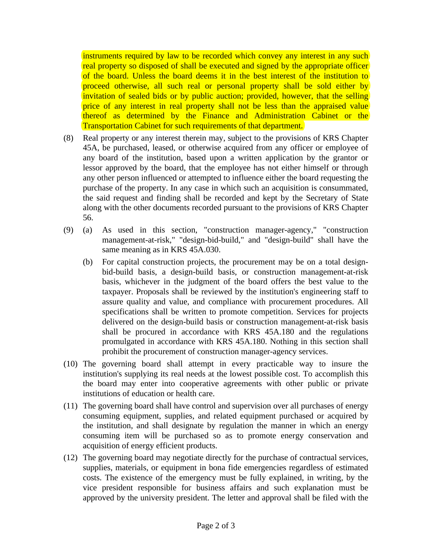instruments required by law to be recorded which convey any interest in any such real property so disposed of shall be executed and signed by the appropriate officer of the board. Unless the board deems it in the best interest of the institution to proceed otherwise, all such real or personal property shall be sold either by invitation of sealed bids or by public auction; provided, however, that the selling price of any interest in real property shall not be less than the appraised value thereof as determined by the Finance and Administration Cabinet or the Transportation Cabinet for such requirements of that department.

- (8) Real property or any interest therein may, subject to the provisions of KRS Chapter 45A, be purchased, leased, or otherwise acquired from any officer or employee of any board of the institution, based upon a written application by the grantor or lessor approved by the board, that the employee has not either himself or through any other person influenced or attempted to influence either the board requesting the purchase of the property. In any case in which such an acquisition is consummated, the said request and finding shall be recorded and kept by the Secretary of State along with the other documents recorded pursuant to the provisions of KRS Chapter 56.
- (9) (a) As used in this section, "construction manager-agency," "construction management-at-risk," "design-bid-build," and "design-build" shall have the same meaning as in KRS 45A.030.
	- (b) For capital construction projects, the procurement may be on a total designbid-build basis, a design-build basis, or construction management-at-risk basis, whichever in the judgment of the board offers the best value to the taxpayer. Proposals shall be reviewed by the institution's engineering staff to assure quality and value, and compliance with procurement procedures. All specifications shall be written to promote competition. Services for projects delivered on the design-build basis or construction management-at-risk basis shall be procured in accordance with KRS 45A.180 and the regulations promulgated in accordance with KRS 45A.180. Nothing in this section shall prohibit the procurement of construction manager-agency services.
- (10) The governing board shall attempt in every practicable way to insure the institution's supplying its real needs at the lowest possible cost. To accomplish this the board may enter into cooperative agreements with other public or private institutions of education or health care.
- (11) The governing board shall have control and supervision over all purchases of energy consuming equipment, supplies, and related equipment purchased or acquired by the institution, and shall designate by regulation the manner in which an energy consuming item will be purchased so as to promote energy conservation and acquisition of energy efficient products.
- (12) The governing board may negotiate directly for the purchase of contractual services, supplies, materials, or equipment in bona fide emergencies regardless of estimated costs. The existence of the emergency must be fully explained, in writing, by the vice president responsible for business affairs and such explanation must be approved by the university president. The letter and approval shall be filed with the